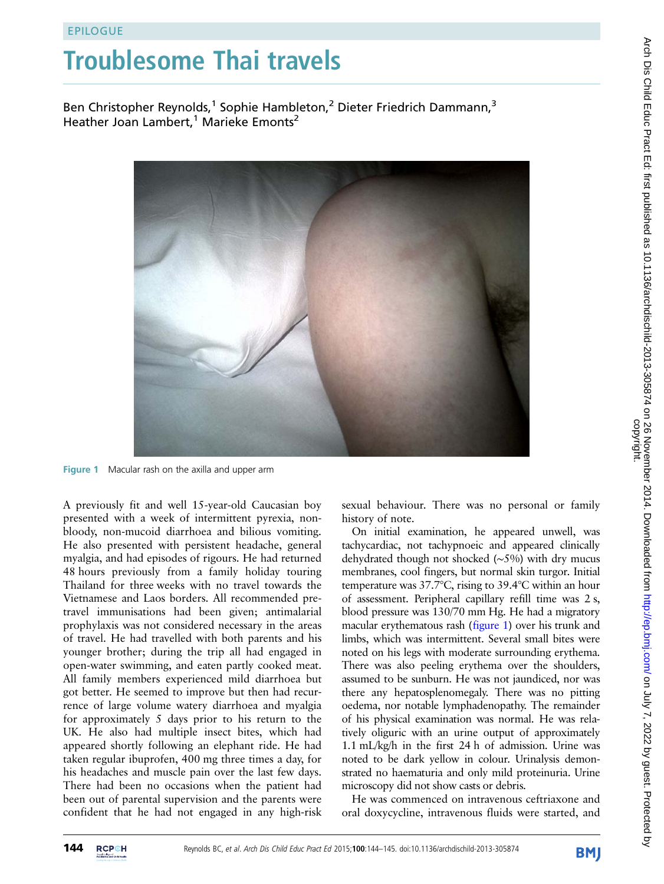## Troublesome Thai travels

Ben Christopher Reynolds,<sup>1</sup> Sophie Hambleton,<sup>2</sup> Dieter Friedrich Dammann,<sup>3</sup> Heather Joan Lambert,<sup>1</sup> Marieke Emonts<sup>2</sup>



Figure 1 Macular rash on the axilla and upper arm

A previously fit and well 15-year-old Caucasian boy presented with a week of intermittent pyrexia, nonbloody, non-mucoid diarrhoea and bilious vomiting. He also presented with persistent headache, general myalgia, and had episodes of rigours. He had returned 48 hours previously from a family holiday touring Thailand for three weeks with no travel towards the Vietnamese and Laos borders. All recommended pretravel immunisations had been given; antimalarial prophylaxis was not considered necessary in the areas of travel. He had travelled with both parents and his younger brother; during the trip all had engaged in open-water swimming, and eaten partly cooked meat. All family members experienced mild diarrhoea but got better. He seemed to improve but then had recurrence of large volume watery diarrhoea and myalgia for approximately 5 days prior to his return to the UK. He also had multiple insect bites, which had appeared shortly following an elephant ride. He had taken regular ibuprofen, 400 mg three times a day, for his headaches and muscle pain over the last few days. There had been no occasions when the patient had been out of parental supervision and the parents were confident that he had not engaged in any high-risk

sexual behaviour. There was no personal or family history of note.

On initial examination, he appeared unwell, was tachycardiac, not tachypnoeic and appeared clinically dehydrated though not shocked (∼5%) with dry mucus membranes, cool fingers, but normal skin turgor. Initial temperature was 37.7°C, rising to 39.4°C within an hour of assessment. Peripheral capillary refill time was 2 s, blood pressure was 130/70 mm Hg. He had a migratory macular erythematous rash (figure 1) over his trunk and limbs, which was intermittent. Several small bites were noted on his legs with moderate surrounding erythema. There was also peeling erythema over the shoulders, assumed to be sunburn. He was not jaundiced, nor was there any hepatosplenomegaly. There was no pitting oedema, nor notable lymphadenopathy. The remainder of his physical examination was normal. He was relatively oliguric with an urine output of approximately 1.1 mL/kg/h in the first 24 h of admission. Urine was noted to be dark yellow in colour. Urinalysis demonstrated no haematuria and only mild proteinuria. Urine microscopy did not show casts or debris.

He was commenced on intravenous ceftriaxone and oral doxycycline, intravenous fluids were started, and